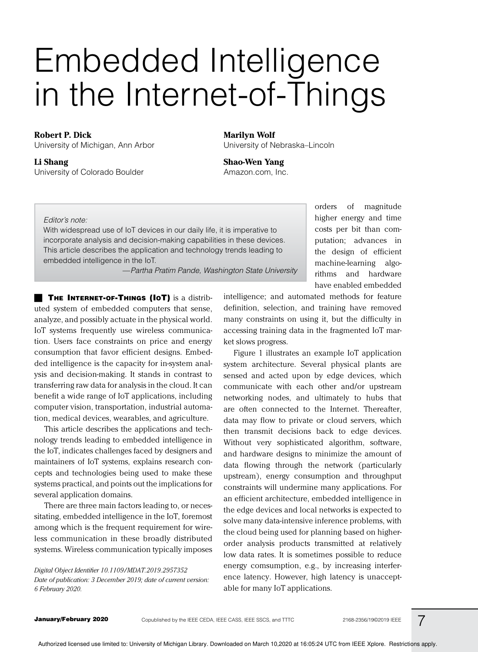# Embedded Intelligence in the Internet-of-Things

#### **Robert P. Dick**

University of Michigan, Ann Arbor

**Li Shang** University of Colorado Boulder **Marilyn Wolf** University of Nebraska–Lincoln

**Shao-Wen Yang** Amazon.com, Inc.

#### Editor's note:

With widespread use of IoT devices in our daily life, it is imperative to incorporate analysis and decision-making capabilities in these devices. This article describes the application and technology trends leading to embedded intelligence in the IoT.

—Partha Pratim Pande, Washington State University

**THE INTERNET-OF-THINGS (IOT)** is a distributed system of embedded computers that sense, analyze, and possibly actuate in the physical world. IoT systems frequently use wireless communication. Users face constraints on price and energy consumption that favor efficient designs. Embedded intelligence is the capacity for in-system analysis and decision-making. It stands in contrast to transferring raw data for analysis in the cloud. It can benefit a wide range of IoT applications, including computer vision, transportation, industrial automation, medical devices, wearables, and agriculture.

This article describes the applications and technology trends leading to embedded intelligence in the IoT, indicates challenges faced by designers and maintainers of IoT systems, explains research concepts and technologies being used to make these systems practical, and points out the implications for several application domains.

There are three main factors leading to, or necessitating, embedded intelligence in the IoT, foremost among which is the frequent requirement for wireless communication in these broadly distributed systems. Wireless communication typically imposes

*Digital Object Identifier 10.1109/MDAT.2019.2957352 Date of publication: 3 December 2019; date of current version: 6 February 2020.*

intelligence; and automated methods for feature definition, selection, and training have removed many constraints on using it, but the difficulty in accessing training data in the fragmented IoT market slows progress.

orders of magnitude higher energy and time costs per bit than computation; advances in the design of efficient machine-learning algorithms and hardware have enabled embedded

Figure 1 illustrates an example IoT application system architecture. Several physical plants are sensed and acted upon by edge devices, which communicate with each other and/or upstream networking nodes, and ultimately to hubs that are often connected to the Internet. Thereafter, data may flow to private or cloud servers, which then transmit decisions back to edge devices. Without very sophisticated algorithm, software, and hardware designs to minimize the amount of data flowing through the network (particularly upstream), energy consumption and throughput constraints will undermine many applications. For an efficient architecture, embedded intelligence in the edge devices and local networks is expected to solve many data-intensive inference problems, with the cloud being used for planning based on higherorder analysis products transmitted at relatively low data rates. It is sometimes possible to reduce energy comsumption, e.g., by increasing interference latency. However, high latency is unacceptable for many IoT applications.

January/February 2020 Copublished by the IEEE CEDA, IEEE CASS, IEEE SSCS, and TTTC 2168-2356/19@2019 IEEE

7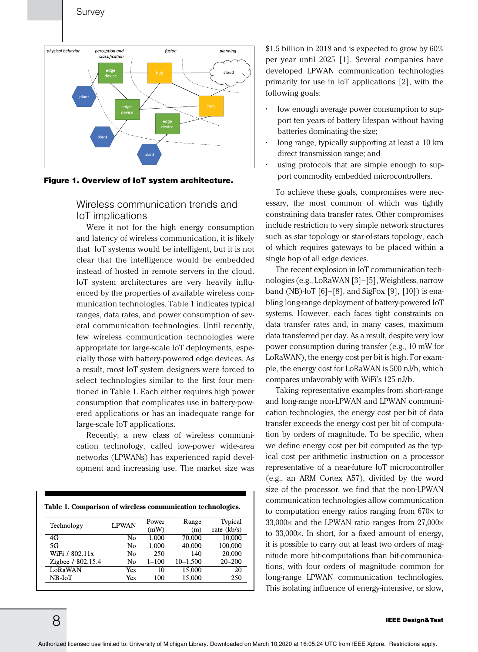

Figure 1. Overview of IoT system architecture.

Wireless communication trends and IoT implications

Were it not for the high energy consumption and latency of wireless communication, it is likely that IoT systems would be intelligent, but it is not clear that the intelligence would be embedded instead of hosted in remote servers in the cloud. IoT system architectures are very heavily influenced by the properties of available wireless communication technologies. Table 1 indicates typical ranges, data rates, and power consumption of several communication technologies. Until recently, few wireless communication technologies were appropriate for large-scale IoT deployments, especially those with battery-powered edge devices. As a result, most IoT system designers were forced to select technologies similar to the first four mentioned in Table 1. Each either requires high power consumption that complicates use in battery-powered applications or has an inadequate range for large-scale IoT applications.

Recently, a new class of wireless communication technology, called low-power wide-area networks (LPWANs) has experienced rapid development and increasing use. The market size was

| Technology        | <b>LPWAN</b>   | Power     | Range        | Typical       |
|-------------------|----------------|-----------|--------------|---------------|
|                   |                | (mW)      | (m)          | rate $(kb/s)$ |
| 4G                | N <sub>0</sub> | 1.000     | 70,000       | 10.000        |
| 5G                | N <sub>0</sub> | 1.000     | 40,000       | 100,000       |
| WiFi / 802.11x    | No             | 250       | 140          | 20,000        |
| Zigbee / 802.15.4 | N <sub>0</sub> | $1 - 100$ | $10 - 1.500$ | $20 - 200$    |
| LoRaWAN           | Yes            | 10        | 15,000       | 20            |
| NB-IoT            | <b>Yes</b>     | 100       | 15,000       | 250           |

\$1.5 billion in 2018 and is expected to grow by 60% per year until 2025 [1]. Several companies have developed LPWAN communication technologies primarily for use in IoT applications [2], with the following goals:

- low enough average power consumption to support ten years of battery lifespan without having batteries dominating the size;
- long range, typically supporting at least a 10 km direct transmission range; and
- using protocols that are simple enough to support commodity embedded microcontrollers.

To achieve these goals, compromises were necessary, the most common of which was tightly constraining data transfer rates. Other compromises include restriction to very simple network structures such as star topology or star-of-stars topology, each of which requires gateways to be placed within a single hop of all edge devices.

The recent explosion in IoT communication technologies (e.g., LoRaWAN [3]–[5], Weightless, narrow band (NB)-IoT [6]–[8], and SigFox [9], [10]) is enabling long-range deployment of battery-powered IoT systems. However, each faces tight constraints on data transfer rates and, in many cases, maximum data transferred per day. As a result, despite very low power consumption during transfer (e.g., 10 mW for LoRaWAN), the energy cost per bit is high. For example, the energy cost for LoRaWAN is 500 nJ/b, which compares unfavorably with WiFi's 125 nJ/b.

Taking representative examples from short-range and long-range non-LPWAN and LPWAN communication technologies, the energy cost per bit of data transfer exceeds the energy cost per bit of computation by orders of magnitude. To be specific, when we define energy cost per bit computed as the typical cost per arithmetic instruction on a processor representative of a near-future IoT microcontroller (e.g., an ARM Cortex A57), divided by the word size of the processor, we find that the non-LPWAN communication technologies allow communication to computation energy ratios ranging from  $670 \times$  to  $33,000\times$  and the LPWAN ratio ranges from  $27,000\times$ to 33,000×. In short, for a fixed amount of energy, it is possible to carry out at least two orders of magnitude more bit-computations than bit-communications, with four orders of magnitude common for long-range LPWAN communication technologies. This isolating influence of energy-intensive, or slow,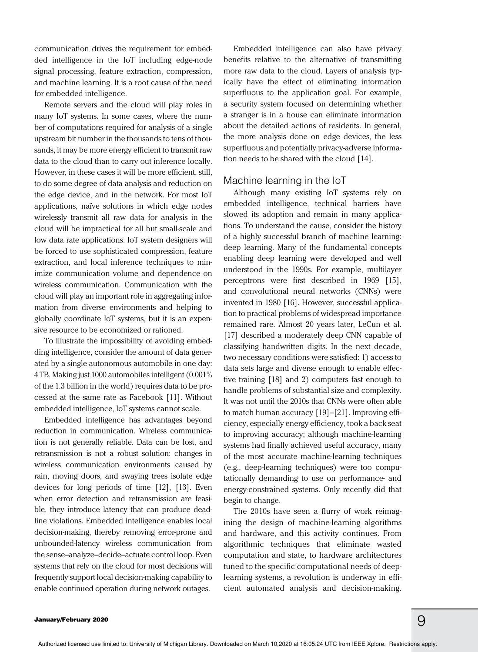communication drives the requirement for embedded intelligence in the IoT including edge-node signal processing, feature extraction, compression, and machine learning. It is a root cause of the need for embedded intelligence.

Remote servers and the cloud will play roles in many IoT systems. In some cases, where the number of computations required for analysis of a single upstream bit number in the thousands to tens of thousands, it may be more energy efficient to transmit raw data to the cloud than to carry out inference locally. However, in these cases it will be more efficient, still, to do some degree of data analysis and reduction on the edge device, and in the network. For most IoT applications, naïve solutions in which edge nodes wirelessly transmit all raw data for analysis in the cloud will be impractical for all but small-scale and low data rate applications. IoT system designers will be forced to use sophisticated compression, feature extraction, and local inference techniques to minimize communication volume and dependence on wireless communication. Communication with the cloud will play an important role in aggregating information from diverse environments and helping to globally coordinate IoT systems, but it is an expensive resource to be economized or rationed.

To illustrate the impossibility of avoiding embedding intelligence, consider the amount of data generated by a single autonomous automobile in one day: 4 TB. Making just 1000 automobiles intelligent (0.001% of the 1.3 billion in the world) requires data to be processed at the same rate as Facebook [11]. Without embedded intelligence, IoT systems cannot scale.

Embedded intelligence has advantages beyond reduction in communication. Wireless communication is not generally reliable. Data can be lost, and retransmission is not a robust solution: changes in wireless communication environments caused by rain, moving doors, and swaying trees isolate edge devices for long periods of time [12], [13]. Even when error detection and retransmission are feasible, they introduce latency that can produce deadline violations. Embedded intelligence enables local decision-making, thereby removing error-prone and unbounded-latency wireless communication from the sense–analyze–decide–actuate control loop. Even systems that rely on the cloud for most decisions will frequently support local decision-making capability to enable continued operation during network outages.

Embedded intelligence can also have privacy benefits relative to the alternative of transmitting more raw data to the cloud. Layers of analysis typically have the effect of eliminating information superfluous to the application goal. For example, a security system focused on determining whether a stranger is in a house can eliminate information about the detailed actions of residents. In general, the more analysis done on edge devices, the less superfluous and potentially privacy-adverse information needs to be shared with the cloud [14].

#### Machine learning in the IoT

Although many existing IoT systems rely on embedded intelligence, technical barriers have slowed its adoption and remain in many applications. To understand the cause, consider the history of a highly successful branch of machine learning: deep learning. Many of the fundamental concepts enabling deep learning were developed and well understood in the 1990s. For example, multilayer perceptrons were first described in 1969 [15], and convolutional neural networks (CNNs) were invented in 1980 [16]. However, successful application to practical problems of widespread importance remained rare. Almost 20 years later, LeCun et al. [17] described a moderately deep CNN capable of classifying handwritten digits. In the next decade, two necessary conditions were satisfied: 1) access to data sets large and diverse enough to enable effective training [18] and 2) computers fast enough to handle problems of substantial size and complexity. It was not until the 2010s that CNNs were often able to match human accuracy [19]–[21]. Improving efficiency, especially energy efficiency, took a back seat to improving accuracy; although machine-learning systems had finally achieved useful accuracy, many of the most accurate machine-learning techniques (e.g., deep-learning techniques) were too computationally demanding to use on performance- and energy-constrained systems. Only recently did that begin to change.

The 2010s have seen a flurry of work reimagining the design of machine-learning algorithms and hardware, and this activity continues. From algorithmic techniques that eliminate wasted computation and state, to hardware architectures tuned to the specific computational needs of deeplearning systems, a revolution is underway in efficient automated analysis and decision-making.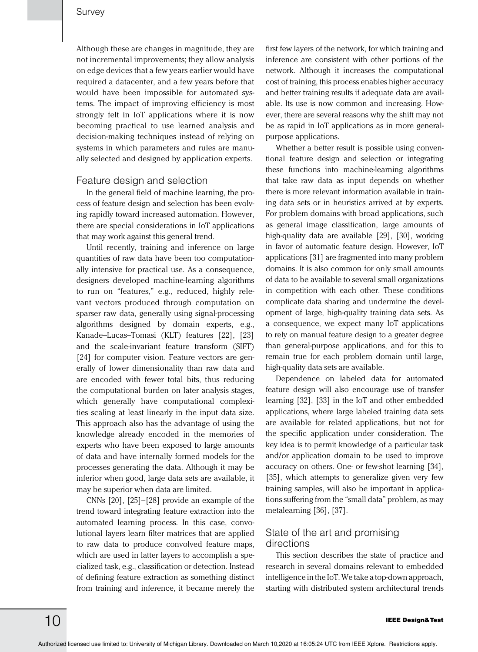Although these are changes in magnitude, they are not incremental improvements; they allow analysis on edge devices that a few years earlier would have required a datacenter, and a few years before that would have been impossible for automated systems. The impact of improving efficiency is most strongly felt in IoT applications where it is now becoming practical to use learned analysis and decision-making techniques instead of relying on systems in which parameters and rules are manually selected and designed by application experts.

#### Feature design and selection

In the general field of machine learning, the process of feature design and selection has been evolving rapidly toward increased automation. However, there are special considerations in IoT applications that may work against this general trend.

Until recently, training and inference on large quantities of raw data have been too computationally intensive for practical use. As a consequence, designers developed machine-learning algorithms to run on "features," e.g., reduced, highly relevant vectors produced through computation on sparser raw data, generally using signal-processing algorithms designed by domain experts, e.g., Kanade–Lucas–Tomasi (KLT) features [22], [23] and the scale-invariant feature transform (SIFT) [24] for computer vision. Feature vectors are generally of lower dimensionality than raw data and are encoded with fewer total bits, thus reducing the computational burden on later analysis stages, which generally have computational complexities scaling at least linearly in the input data size. This approach also has the advantage of using the knowledge already encoded in the memories of experts who have been exposed to large amounts of data and have internally formed models for the processes generating the data. Although it may be inferior when good, large data sets are available, it may be superior when data are limited.

CNNs [20], [25]–[28] provide an example of the trend toward integrating feature extraction into the automated learning process. In this case, convolutional layers learn filter matrices that are applied to raw data to produce convolved feature maps, which are used in latter layers to accomplish a specialized task, e.g., classification or detection. Instead of defining feature extraction as something distinct from training and inference, it became merely the

first few layers of the network, for which training and inference are consistent with other portions of the network. Although it increases the computational cost of training, this process enables higher accuracy and better training results if adequate data are available. Its use is now common and increasing. However, there are several reasons why the shift may not be as rapid in IoT applications as in more generalpurpose applications.

Whether a better result is possible using conventional feature design and selection or integrating these functions into machine-learning algorithms that take raw data as input depends on whether there is more relevant information available in training data sets or in heuristics arrived at by experts. For problem domains with broad applications, such as general image classification, large amounts of high-quality data are available [29], [30], working in favor of automatic feature design. However, IoT applications [31] are fragmented into many problem domains. It is also common for only small amounts of data to be available to several small organizations in competition with each other. These conditions complicate data sharing and undermine the development of large, high-quality training data sets. As a consequence, we expect many IoT applications to rely on manual feature design to a greater degree than general-purpose applications, and for this to remain true for each problem domain until large, high-quality data sets are available.

Dependence on labeled data for automated feature design will also encourage use of transfer learning [32], [33] in the IoT and other embedded applications, where large labeled training data sets are available for related applications, but not for the specific application under consideration. The key idea is to permit knowledge of a particular task and/or application domain to be used to improve accuracy on others. One- or few-shot learning [34], [35], which attempts to generalize given very few training samples, will also be important in applications suffering from the "small data" problem, as may metalearning [36], [37].

#### State of the art and promising directions

This section describes the state of practice and research in several domains relevant to embedded intelligence in the IoT. We take a top-down approach, starting with distributed system architectural trends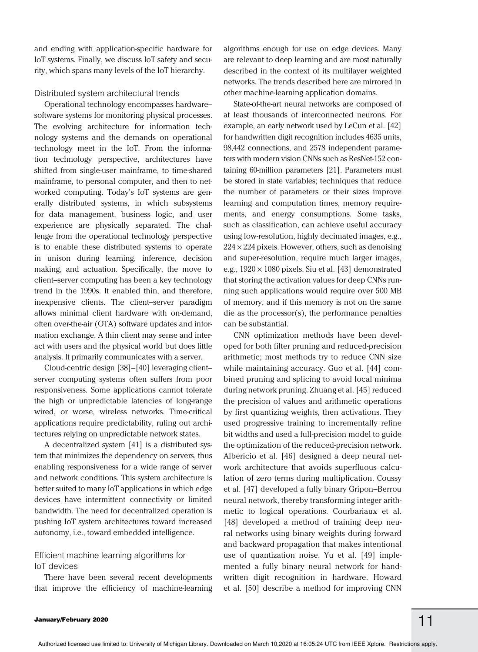and ending with application-specific hardware for IoT systems. Finally, we discuss IoT safety and security, which spans many levels of the IoT hierarchy.

#### Distributed system architectural trends

Operational technology encompasses hardware– software systems for monitoring physical processes. The evolving architecture for information technology systems and the demands on operational technology meet in the IoT. From the information technology perspective, architectures have shifted from single-user mainframe, to time-shared mainframe, to personal computer, and then to networked computing. Today's IoT systems are generally distributed systems, in which subsystems for data management, business logic, and user experience are physically separated. The challenge from the operational technology perspective is to enable these distributed systems to operate in unison during learning, inference, decision making, and actuation. Specifically, the move to client–server computing has been a key technology trend in the 1990s. It enabled thin, and therefore, inexpensive clients. The client–server paradigm allows minimal client hardware with on-demand, often over-the-air (OTA) software updates and information exchange. A thin client may sense and interact with users and the physical world but does little analysis. It primarily communicates with a server.

Cloud-centric design [38]–[40] leveraging client– server computing systems often suffers from poor responsiveness. Some applications cannot tolerate the high or unpredictable latencies of long-range wired, or worse, wireless networks. Time-critical applications require predictability, ruling out architectures relying on unpredictable network states.

A decentralized system [41] is a distributed system that minimizes the dependency on servers, thus enabling responsiveness for a wide range of server and network conditions. This system architecture is better suited to many IoT applications in which edge devices have intermittent connectivity or limited bandwidth. The need for decentralized operation is pushing IoT system architectures toward increased autonomy, i.e., toward embedded intelligence.

#### Efficient machine learning algorithms for IoT devices

There have been several recent developments that improve the efficiency of machine-learning algorithms enough for use on edge devices. Many are relevant to deep learning and are most naturally described in the context of its multilayer weighted networks. The trends described here are mirrored in other machine-learning application domains.

State-of-the-art neural networks are composed of at least thousands of interconnected neurons. For example, an early network used by LeCun et al. [42] for handwritten digit recognition includes 4635 units, 98,442 connections, and 2578 independent parameters with modern vision CNNs such as ResNet-152 containing 60-million parameters [21]. Parameters must be stored in state variables; techniques that reduce the number of parameters or their sizes improve learning and computation times, memory requirements, and energy consumptions. Some tasks, such as classification, can achieve useful accuracy using low-resolution, highly decimated images, e.g.,  $224 \times 224$  pixels. However, others, such as denoising and super-resolution, require much larger images, e.g.,  $1920 \times 1080$  pixels. Siu et al. [43] demonstrated that storing the activation values for deep CNNs running such applications would require over 500 MB of memory, and if this memory is not on the same die as the processor(s), the performance penalties can be substantial.

CNN optimization methods have been developed for both filter pruning and reduced-precision arithmetic; most methods try to reduce CNN size while maintaining accuracy. Guo et al. [44] combined pruning and splicing to avoid local minima during network pruning. Zhuang et al. [45] reduced the precision of values and arithmetic operations by first quantizing weights, then activations. They used progressive training to incrementally refine bit widths and used a full-precision model to guide the optimization of the reduced-precision network. Albericio et al. [46] designed a deep neural network architecture that avoids superfluous calculation of zero terms during multiplication. Coussy et al. [47] developed a fully binary Gripon–Berrou neural network, thereby transforming integer arithmetic to logical operations. Courbariaux et al. [48] developed a method of training deep neural networks using binary weights during forward and backward propagation that makes intentional use of quantization noise. Yu et al. [49] implemented a fully binary neural network for handwritten digit recognition in hardware. Howard et al. [50] describe a method for improving CNN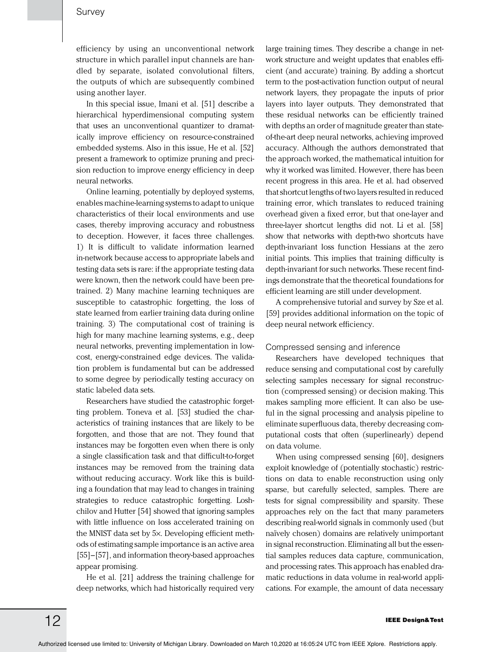efficiency by using an unconventional network structure in which parallel input channels are handled by separate, isolated convolutional filters, the outputs of which are subsequently combined using another layer.

In this special issue, Imani et al. [51] describe a hierarchical hyperdimensional computing system that uses an unconventional quantizer to dramatically improve efficiency on resource-constrained embedded systems. Also in this issue, He et al. [52] present a framework to optimize pruning and precision reduction to improve energy efficiency in deep neural networks.

Online learning, potentially by deployed systems, enables machine-learning systems to adapt to unique characteristics of their local environments and use cases, thereby improving accuracy and robustness to deception. However, it faces three challenges. 1) It is difficult to validate information learned in- network because access to appropriate labels and testing data sets is rare: if the appropriate testing data were known, then the network could have been pretrained. 2) Many machine learning techniques are susceptible to catastrophic forgetting, the loss of state learned from earlier training data during online training. 3) The computational cost of training is high for many machine learning systems, e.g., deep neural networks, preventing implementation in lowcost, energy-constrained edge devices. The validation problem is fundamental but can be addressed to some degree by periodically testing accuracy on static labeled data sets.

Researchers have studied the catastrophic forgetting problem. Toneva et al. [53] studied the characteristics of training instances that are likely to be forgotten, and those that are not. They found that instances may be forgotten even when there is only a single classification task and that difficult-to-forget instances may be removed from the training data without reducing accuracy. Work like this is building a foundation that may lead to changes in training strategies to reduce catastrophic forgetting. Loshchilov and Hutter [54] showed that ignoring samples with little influence on loss accelerated training on the MNIST data set by 5×. Developing efficient methods of estimating sample importance is an active area [55]–[57], and information theory-based approaches appear promising.

He et al. [21] address the training challenge for deep networks, which had historically required very

large training times. They describe a change in network structure and weight updates that enables efficient (and accurate) training. By adding a shortcut term to the post-activation function output of neural network layers, they propagate the inputs of prior layers into layer outputs. They demonstrated that these residual networks can be efficiently trained with depths an order of magnitude greater than stateof-the-art deep neural networks, achieving improved accuracy. Although the authors demonstrated that the approach worked, the mathematical intuition for why it worked was limited. However, there has been recent progress in this area. He et al. had observed that shortcut lengths of two layers resulted in reduced training error, which translates to reduced training overhead given a fixed error, but that one-layer and three-layer shortcut lengths did not. Li et al. [58] show that networks with depth-two shortcuts have depth-invariant loss function Hessians at the zero initial points. This implies that training difficulty is depth-invariant for such networks. These recent findings demonstrate that the theoretical foundations for efficient learning are still under development.

A comprehensive tutorial and survey by Sze et al. [59] provides additional information on the topic of deep neural network efficiency.

#### Compressed sensing and inference

Researchers have developed techniques that reduce sensing and computational cost by carefully selecting samples necessary for signal reconstruction (compressed sensing) or decision making. This makes sampling more efficient. It can also be useful in the signal processing and analysis pipeline to eliminate superfluous data, thereby decreasing computational costs that often (superlinearly) depend on data volume.

When using compressed sensing [60], designers exploit knowledge of (potentially stochastic) restrictions on data to enable reconstruction using only sparse, but carefully selected, samples. There are tests for signal compressibility and sparsity. These approaches rely on the fact that many parameters describing real-world signals in commonly used (but naïvely chosen) domains are relatively unimportant in signal reconstruction. Eliminating all but the essential samples reduces data capture, communication, and processing rates. This approach has enabled dramatic reductions in data volume in real-world applications. For example, the amount of data necessary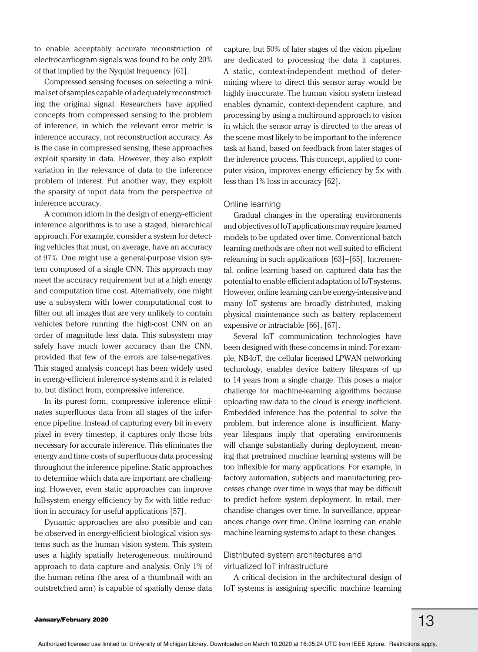to enable acceptably accurate reconstruction of electrocardiogram signals was found to be only 20% of that implied by the Nyquist frequency [61].

Compressed sensing focuses on selecting a minimal set of samples capable of adequately reconstructing the original signal. Researchers have applied concepts from compressed sensing to the problem of inference, in which the relevant error metric is inference accuracy, not reconstruction accuracy. As is the case in compressed sensing, these approaches exploit sparsity in data. However, they also exploit variation in the relevance of data to the inference problem of interest. Put another way, they exploit the sparsity of input data from the perspective of inference accuracy.

A common idiom in the design of energy-efficient inference algorithms is to use a staged, hierarchical approach. For example, consider a system for detecting vehicles that must, on average, have an accuracy of 97%. One might use a general-purpose vision system composed of a single CNN. This approach may meet the accuracy requirement but at a high energy and computation time cost. Alternatively, one might use a subsystem with lower computational cost to filter out all images that are very unlikely to contain vehicles before running the high-cost CNN on an order of magnitude less data. This subsystem may safely have much lower accuracy than the CNN, provided that few of the errors are false-negatives. This staged analysis concept has been widely used in energy-efficient inference systems and it is related to, but distinct from, compressive inference.

In its purest form, compressive inference eliminates superfluous data from all stages of the inference pipeline. Instead of capturing every bit in every pixel in every timestep, it captures only those bits necessary for accurate inference. This eliminates the energy and time costs of superfluous data processing throughout the inference pipeline. Static approaches to determine which data are important are challenging. However, even static approaches can improve full-system energy efficiency by 5× with little reduction in accuracy for useful applications [57].

Dynamic approaches are also possible and can be observed in energy-efficient biological vision systems such as the human vision system. This system uses a highly spatially heterogeneous, multiround approach to data capture and analysis. Only 1% of the human retina (the area of a thumbnail with an outstretched arm) is capable of spatially dense data

capture, but 50% of later stages of the vision pipeline are dedicated to processing the data it captures. A static, context-independent method of determining where to direct this sensor array would be highly inaccurate. The human vision system instead enables dynamic, context-dependent capture, and processing by using a multiround approach to vision in which the sensor array is directed to the areas of the scene most likely to be important to the inference task at hand, based on feedback from later stages of the inference process. This concept, applied to computer vision, improves energy efficiency by 5× with less than 1% loss in accuracy [62].

#### Online learning

Gradual changes in the operating environments and objectives of IoT applications may require learned models to be updated over time. Conventional batch learning methods are often not well suited to efficient relearning in such applications [63]–[65]. Incremental, online learning based on captured data has the potential to enable efficient adaptation of IoT systems. However, online learning can be energy-intensive and many IoT systems are broadly distributed, making physical maintenance such as battery replacement expensive or intractable [66], [67].

Several IoT communication technologies have been designed with these concerns in mind. For example, NB-IoT, the cellular licensed LPWAN networking technology, enables device battery lifespans of up to 14 years from a single charge. This poses a major challenge for machine-learning algorithms because uploading raw data to the cloud is energy inefficient. Embedded inference has the potential to solve the problem, but inference alone is insufficient. Manyyear lifespans imply that operating environments will change substantially during deployment, meaning that pretrained machine learning systems will be too inflexible for many applications. For example, in factory automation, subjects and manufacturing processes change over time in ways that may be difficult to predict before system deployment. In retail, merchandise changes over time. In surveillance, appearances change over time. Online learning can enable machine learning systems to adapt to these changes.

#### Distributed system architectures and virtualized IoT infrastructure

A critical decision in the architectural design of IoT systems is assigning specific machine learning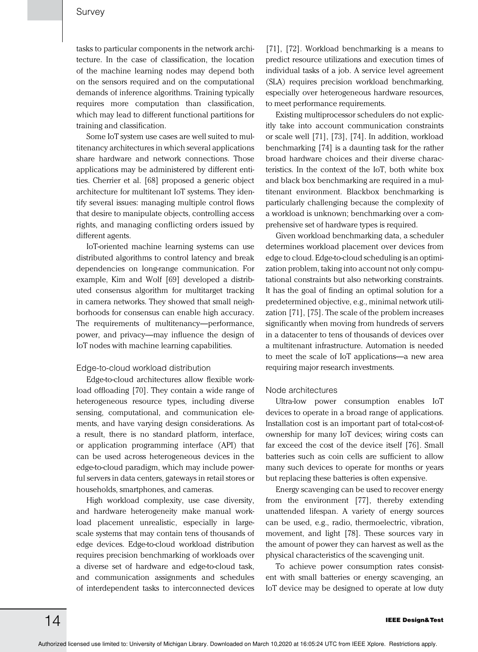tasks to particular components in the network architecture. In the case of classification, the location of the machine learning nodes may depend both on the sensors required and on the computational demands of inference algorithms. Training typically requires more computation than classification, which may lead to different functional partitions for training and classification.

Some IoT system use cases are well suited to multitenancy architectures in which several applications share hardware and network connections. Those applications may be administered by different entities. Cherrier et al. [68] proposed a generic object architecture for multitenant IoT systems. They identify several issues: managing multiple control flows that desire to manipulate objects, controlling access rights, and managing conflicting orders issued by different agents.

IoT-oriented machine learning systems can use distributed algorithms to control latency and break dependencies on long-range communication. For example, Kim and Wolf [69] developed a distributed consensus algorithm for multitarget tracking in camera networks. They showed that small neighborhoods for consensus can enable high accuracy. The requirements of multitenancy—performance, power, and privacy—may influence the design of IoT nodes with machine learning capabilities.

#### Edge-to-cloud workload distribution

Edge-to-cloud architectures allow flexible workload offloading [70]. They contain a wide range of heterogeneous resource types, including diverse sensing, computational, and communication elements, and have varying design considerations. As a result, there is no standard platform, interface, or application programming interface (API) that can be used across heterogeneous devices in the edge-to-cloud paradigm, which may include powerful servers in data centers, gateways in retail stores or households, smartphones, and cameras.

High workload complexity, use case diversity, and hardware heterogeneity make manual workload placement unrealistic, especially in largescale systems that may contain tens of thousands of edge devices. Edge-to-cloud workload distribution requires precision benchmarking of workloads over a diverse set of hardware and edge-to-cloud task, and communication assignments and schedules of interdependent tasks to interconnected devices

[71], [72]. Workload benchmarking is a means to predict resource utilizations and execution times of individual tasks of a job. A service level agreement (SLA) requires precision workload benchmarking, especially over heterogeneous hardware resources, to meet performance requirements.

Existing multiprocessor schedulers do not explicitly take into account communication constraints or scale well [71], [73], [74]. In addition, workload benchmarking [74] is a daunting task for the rather broad hardware choices and their diverse characteristics. In the context of the IoT, both white box and black box benchmarking are required in a multitenant environment. Blackbox benchmarking is particularly challenging because the complexity of a workload is unknown; benchmarking over a comprehensive set of hardware types is required.

Given workload benchmarking data, a scheduler determines workload placement over devices from edge to cloud. Edge-to-cloud scheduling is an optimization problem, taking into account not only computational constraints but also networking constraints. It has the goal of finding an optimal solution for a predetermined objective, e.g., minimal network utilization [71], [75]. The scale of the problem increases significantly when moving from hundreds of servers in a datacenter to tens of thousands of devices over a multitenant infrastructure. Automation is needed to meet the scale of IoT applications—a new area requiring major research investments.

#### Node architectures

Ultra-low power consumption enables IoT devices to operate in a broad range of applications. Installation cost is an important part of total-cost-ofownership for many IoT devices; wiring costs can far exceed the cost of the device itself [76]. Small batteries such as coin cells are sufficient to allow many such devices to operate for months or years but replacing these batteries is often expensive.

Energy scavenging can be used to recover energy from the environment [77], thereby extending unattended lifespan. A variety of energy sources can be used, e.g., radio, thermoelectric, vibration, movement, and light [78]. These sources vary in the amount of power they can harvest as well as the physical characteristics of the scavenging unit.

To achieve power consumption rates consistent with small batteries or energy scavenging, an IoT device may be designed to operate at low duty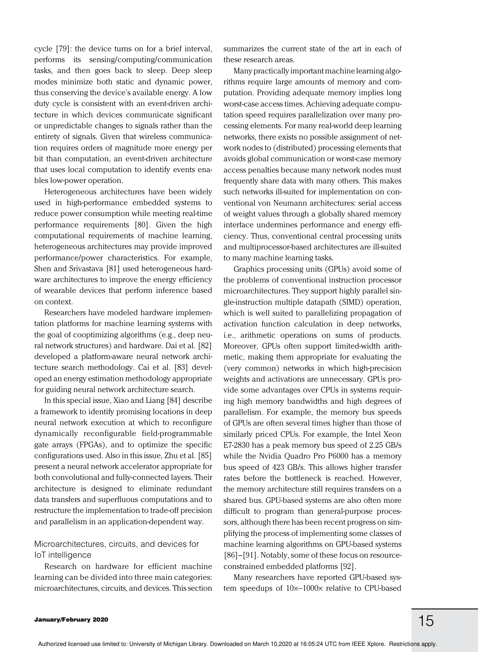cycle [79]: the device turns on for a brief interval, performs its sensing/computing/communication tasks, and then goes back to sleep. Deep sleep modes minimize both static and dynamic power, thus conserving the device's available energy. A low duty cycle is consistent with an event-driven architecture in which devices communicate significant or unpredictable changes to signals rather than the entirety of signals. Given that wireless communication requires orders of magnitude more energy per bit than computation, an event-driven architecture that uses local computation to identify events enables low-power operation.

Heterogeneous architectures have been widely used in high-performance embedded systems to reduce power consumption while meeting real-time performance requirements [80]. Given the high computational requirements of machine learning, heterogeneous architectures may provide improved performance/power characteristics. For example, Shen and Srivastava [81] used heterogeneous hardware architectures to improve the energy efficiency of wearable devices that perform inference based on context.

Researchers have modeled hardware implementation platforms for machine learning systems with the goal of cooptimizing algorithms (e.g., deep neural network structures) and hardware. Dai et al. [82] developed a platform-aware neural network architecture search methodology. Cai et al. [83] developed an energy estimation methodology appropriate for guiding neural network architecture search.

In this special issue, Xiao and Liang [84] describe a framework to identify promising locations in deep neural network execution at which to reconfigure dynamically reconfigurable field-programmable gate arrays (FPGAs), and to optimize the specific configurations used. Also in this issue, Zhu et al. [85] present a neural network accelerator appropriate for both convolutional and fully-connected layers. Their architecture is designed to eliminate redundant data transfers and superfluous computations and to restructure the implementation to trade-off precision and parallelism in an application-dependent way.

#### Microarchitectures, circuits, and devices for IoT intelligence

Research on hardware for efficient machine learning can be divided into three main categories: microarchitectures, circuits, and devices. This section summarizes the current state of the art in each of these research areas.

Many practically important machine learning algorithms require large amounts of memory and computation. Providing adequate memory implies long worst-case access times. Achieving adequate computation speed requires parallelization over many processing elements. For many real-world deep learning networks, there exists no possible assignment of network nodes to (distributed) processing elements that avoids global communication or worst-case memory access penalties because many network nodes must frequently share data with many others. This makes such networks ill-suited for implementation on conventional von Neumann architectures: serial access of weight values through a globally shared memory interface undermines performance and energy efficiency. Thus, conventional central processing units and multiprocessor-based architectures are ill-suited to many machine learning tasks.

Graphics processing units (GPUs) avoid some of the problems of conventional instruction processor microarchitectures. They support highly parallel single-instruction multiple datapath (SIMD) operation, which is well suited to parallelizing propagation of activation function calculation in deep networks, i.e., arithmetic operations on sums of products. Moreover, GPUs often support limited-width arithmetic, making them appropriate for evaluating the (very common) networks in which high-precision weights and activations are unnecessary. GPUs provide some advantages over CPUs in systems requiring high memory bandwidths and high degrees of parallelism. For example, the memory bus speeds of GPUs are often several times higher than those of similarly priced CPUs. For example, the Intel Xeon E7-2830 has a peak memory bus speed of 2.25 GB/s while the Nvidia Quadro Pro P6000 has a memory bus speed of 423 GB/s. This allows higher transfer rates before the bottleneck is reached. However, the memory architecture still requires transfers on a shared bus. GPU-based systems are also often more difficult to program than general-purpose processors, although there has been recent progress on simplifying the process of implementing some classes of machine learning algorithms on GPU-based systems [86]–[91]. Notably, some of these focus on resourceconstrained embedded platforms [92].

Many researchers have reported GPU-based system speedups of 10×−1000× relative to CPU-based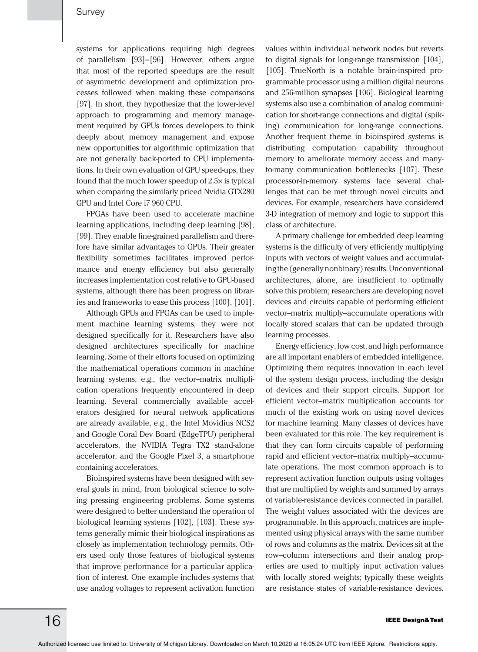systems for applications requiring high degrees of parallelism [93]–[96]. However, others argue that most of the reported speedups are the result of asymmetric development and optimization processes followed when making these comparisons [97]. In short, they hypothesize that the lower-level approach to programming and memory management required by GPUs forces developers to think deeply about memory management and expose new opportunities for algorithmic optimization that are not generally back-ported to CPU implementations. In their own evaluation of GPU speed-ups, they found that the much lower speedup of 2.5× is typical when comparing the similarly priced Nvidia GTX280 GPU and Intel Core i7 960 CPU.

FPGAs have been used to accelerate machine learning applications, including deep learning [98], [99]. They enable fine-grained parallelism and therefore have similar advantages to GPUs. Their greater flexibility sometimes facilitates improved performance and energy efficiency but also generally increases implementation cost relative to GPU-based systems, although there has been progress on libraries and frameworks to ease this process [100], [101].

Although GPUs and FPGAs can be used to implement machine learning systems, they were not designed specifically for it. Researchers have also designed architectures specifically for machine learning. Some of their efforts focused on optimizing the mathematical operations common in machine learning systems, e.g., the vector–matrix multiplication operations frequently encountered in deep learning. Several commercially available accelerators designed for neural network applications are already available, e.g., the Intel Movidius NCS2 and Google Coral Dev Board (EdgeTPU) peripheral accelerators, the NVIDIA Tegra TX2 stand-alone accelerator, and the Google Pixel 3, a smartphone containing accelerators.

Bioinspired systems have been designed with several goals in mind, from biological science to solving pressing engineering problems. Some systems were designed to better understand the operation of biological learning systems [102], [103]. These systems generally mimic their biological inspirations as closely as implementation technology permits. Others used only those features of biological systems that improve performance for a particular application of interest. One example includes systems that use analog voltages to represent activation function

values within individual network nodes but reverts to digital signals for long-range transmission [104], [105]. TrueNorth is a notable brain-inspired programmable processor using a million digital neurons and 256-million synapses [106]. Biological learning systems also use a combination of analog communication for short-range connections and digital (spiking) communication for long-range connections. Another frequent theme in bioinspired systems is distributing computation capability throughout memory to ameliorate memory access and manyto-many communication bottlenecks [107]. These processor-in-memory systems face several challenges that can be met through novel circuits and devices. For example, researchers have considered 3-D integration of memory and logic to support this class of architecture.

A primary challenge for embedded deep learning systems is the difficulty of very efficiently multiplying inputs with vectors of weight values and accumulating the (generally nonbinary) results. Unconventional architectures, alone, are insufficient to optimally solve this problem; researchers are developing novel devices and circuits capable of performing efficient vector–matrix multiply–accumulate operations with locally stored scalars that can be updated through learning processes.

Energy efficiency, low cost, and high performance are all important enablers of embedded intelligence. Optimizing them requires innovation in each level of the system design process, including the design of devices and their support circuits. Support for efficient vector–matrix multiplication accounts for much of the existing work on using novel devices for machine learning. Many classes of devices have been evaluated for this role. The key requirement is that they can form circuits capable of performing rapid and efficient vector–matrix multiply–accumulate operations. The most common approach is to represent activation function outputs using voltages that are multiplied by weights and summed by arrays of variable-resistance devices connected in parallel. The weight values associated with the devices are programmable. In this approach, matrices are implemented using physical arrays with the same number of rows and columns as the matrix. Devices sit at the row–column intersections and their analog properties are used to multiply input activation values with locally stored weights; typically these weights are resistance states of variable-resistance devices.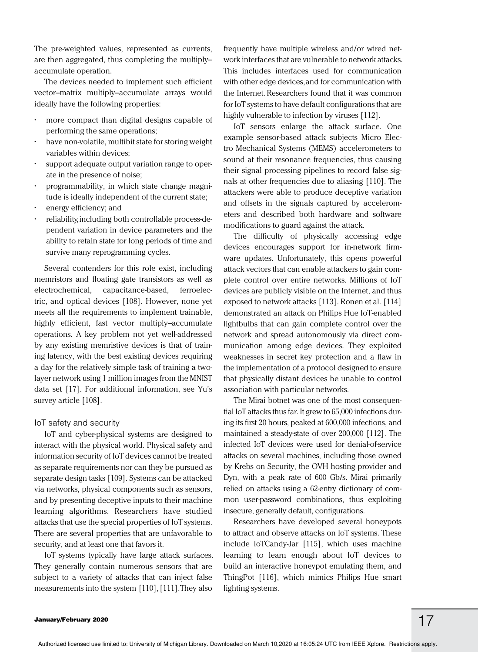The pre-weighted values, represented as currents, are then aggregated, thus completing the multiply– accumulate operation.

The devices needed to implement such efficient vector–matrix multiply–accumulate arrays would ideally have the following properties:

- more compact than digital designs capable of performing the same operations;
- have non-volatile, multibit state for storing weight variables within devices;
- support adequate output variation range to operate in the presence of noise;
- programmability, in which state change magnitude is ideally independent of the current state;
- energy efficiency; and
- reliability, including both controllable process-dependent variation in device parameters and the ability to retain state for long periods of time and survive many reprogramming cycles.

Several contenders for this role exist, including memristors and floating gate transistors as well as electrochemical, capacitance-based, ferroelectric, and optical devices [108]. However, none yet meets all the requirements to implement trainable, highly efficient, fast vector multiply–accumulate operations. A key problem not yet well-addressed by any existing memristive devices is that of training latency, with the best existing devices requiring a day for the relatively simple task of training a twolayer network using 1 million images from the MNIST data set [17]. For additional information, see Yu's survey article [108].

#### IoT safety and security

IoT and cyber-physical systems are designed to interact with the physical world. Physical safety and information security of IoT devices cannot be treated as separate requirements nor can they be pursued as separate design tasks [109]. Systems can be attacked via networks, physical components such as sensors, and by presenting deceptive inputs to their machine learning algorithms. Researchers have studied attacks that use the special properties of IoT systems. There are several properties that are unfavorable to security, and at least one that favors it.

IoT systems typically have large attack surfaces. They generally contain numerous sensors that are subject to a variety of attacks that can inject false measurements into the system [110], [111]. They also

frequently have multiple wireless and/or wired network interfaces that are vulnerable to network attacks. This includes interfaces used for communication with other edge devices, and for communication with the Internet. Researchers found that it was common for IoT systems to have default configurations that are highly vulnerable to infection by viruses [112].

IoT sensors enlarge the attack surface. One example sensor-based attack subjects Micro Electro Mechanical Systems (MEMS) accelerometers to sound at their resonance frequencies, thus causing their signal processing pipelines to record false signals at other frequencies due to aliasing [110]. The attackers were able to produce deceptive variation and offsets in the signals captured by accelerometers and described both hardware and software modifications to guard against the attack.

The difficulty of physically accessing edge devices encourages support for in-network firmware updates. Unfortunately, this opens powerful attack vectors that can enable attackers to gain complete control over entire networks. Millions of IoT devices are publicly visible on the Internet, and thus exposed to network attacks [113]. Ronen et al. [114] demonstrated an attack on Philips Hue IoT-enabled lightbulbs that can gain complete control over the network and spread autonomously via direct communication among edge devices. They exploited weaknesses in secret key protection and a flaw in the implementation of a protocol designed to ensure that physically distant devices be unable to control association with particular networks.

The Mirai botnet was one of the most consequential IoT attacks thus far. It grew to 65,000 infections during its first 20 hours, peaked at 600,000 infections, and maintained a steady-state of over 200,000 [112]. The infected IoT devices were used for denial-of-service attacks on several machines, including those owned by Krebs on Security, the OVH hosting provider and Dyn, with a peak rate of 600 Gb/s. Mirai primarily relied on attacks using a 62-entry dictionary of common user-password combinations, thus exploiting insecure, generally default, configurations.

Researchers have developed several honeypots to attract and observe attacks on IoT systems. These include IoTCandy-Jar [115], which uses machine learning to learn enough about IoT devices to build an interactive honeypot emulating them, and ThingPot [116], which mimics Philips Hue smart lighting systems.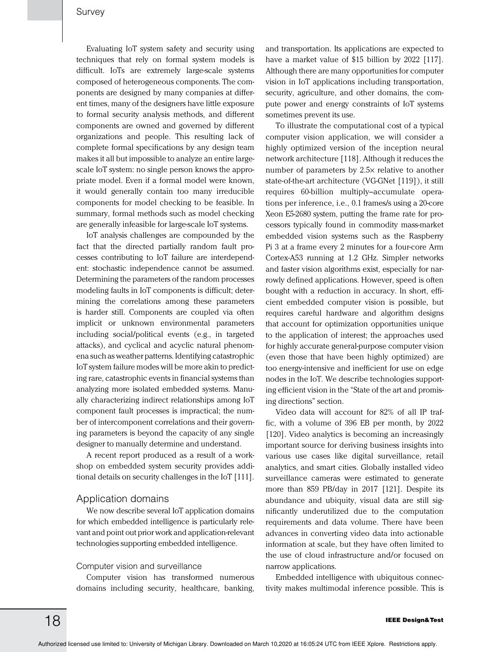Evaluating IoT system safety and security using techniques that rely on formal system models is difficult. IoTs are extremely large-scale systems composed of heterogeneous components. The components are designed by many companies at different times, many of the designers have little exposure to formal security analysis methods, and different components are owned and governed by different organizations and people. This resulting lack of complete formal specifications by any design team makes it all but impossible to analyze an entire largescale IoT system: no single person knows the appropriate model. Even if a formal model were known, it would generally contain too many irreducible components for model checking to be feasible. In summary, formal methods such as model checking are generally infeasible for large-scale IoT systems.

IoT analysis challenges are compounded by the fact that the directed partially random fault processes contributing to IoT failure are interdependent: stochastic independence cannot be assumed. Determining the parameters of the random processes modeling faults in IoT components is difficult; determining the correlations among these parameters is harder still. Components are coupled via often implicit or unknown environmental parameters including social/political events (e.g., in targeted attacks), and cyclical and acyclic natural phenomena such as weather patterns. Identifying catastrophic IoT system failure modes will be more akin to predicting rare, catastrophic events in financial systems than analyzing more isolated embedded systems. Manually characterizing indirect relationships among IoT component fault processes is impractical; the number of intercomponent correlations and their governing parameters is beyond the capacity of any single designer to manually determine and understand.

A recent report produced as a result of a workshop on embedded system security provides additional details on security challenges in the IoT [111].

#### Application domains

We now describe several IoT application domains for which embedded intelligence is particularly relevant and point out prior work and application-relevant technologies supporting embedded intelligence.

#### Computer vision and surveillance

Computer vision has transformed numerous domains including security, healthcare, banking,

and transportation. Its applications are expected to have a market value of \$15 billion by 2022 [117]. Although there are many opportunities for computer vision in IoT applications including transportation, security, agriculture, and other domains, the compute power and energy constraints of IoT systems sometimes prevent its use.

To illustrate the computational cost of a typical computer vision application, we will consider a highly optimized version of the inception neural network architecture [118]. Although it reduces the number of parameters by 2.5× relative to another state-of-the-art architecture (VG-GNet [119]), it still requires 60-billion multiply-accumulate operations per inference, i.e., 0.1 frames/s using a 20-core Xeon E5-2680 system, putting the frame rate for processors typically found in commodity mass-market embedded vision systems such as the Raspberry Pi 3 at a frame every 2 minutes for a four-core Arm Cortex-A53 running at 1.2 GHz. Simpler networks and faster vision algorithms exist, especially for narrowly defined applications. However, speed is often bought with a reduction in accuracy. In short, efficient embedded computer vision is possible, but requires careful hardware and algorithm designs that account for optimization opportunities unique to the application of interest; the approaches used for highly accurate general-purpose computer vision (even those that have been highly optimized) are too energy-intensive and inefficient for use on edge nodes in the IoT. We describe technologies supporting efficient vision in the "State of the art and promising directions" section.

Video data will account for 82% of all IP traffic, with a volume of 396 EB per month, by 2022 [120]. Video analytics is becoming an increasingly important source for deriving business insights into various use cases like digital surveillance, retail analytics, and smart cities. Globally installed video surveillance cameras were estimated to generate more than 859 PB/day in 2017 [121]. Despite its abundance and ubiquity, visual data are still significantly underutilized due to the computation requirements and data volume. There have been advances in converting video data into actionable information at scale, but they have often limited to the use of cloud infrastructure and/or focused on narrow applications.

Embedded intelligence with ubiquitous connectivity makes multimodal inference possible. This is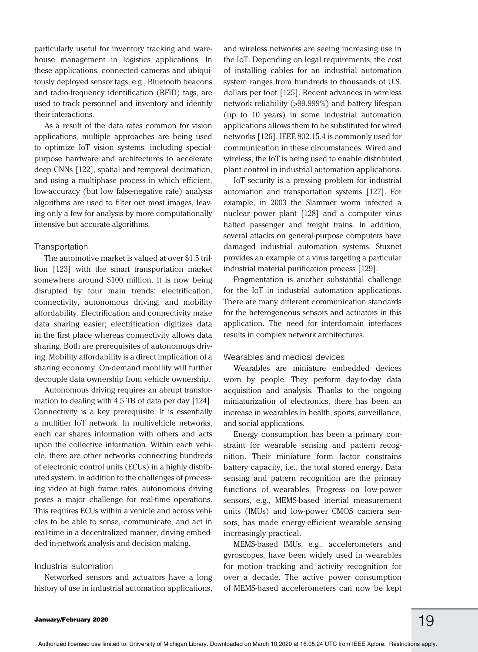particularly useful for inventory tracking and warehouse management in logistics applications. In these applications, connected cameras and ubiquitously deployed sensor tags, e.g., Bluetooth beacons and radio-frequency identification (RFID) tags, are used to track personnel and inventory and identify their interactions.

As a result of the data rates common for vision applications, multiple approaches are being used to optimize IoT vision systems, including specialpurpose hardware and architectures to accelerate deep CNNs [122], spatial and temporal decimation, and using a multiphase process in which efficient, low-accuracy (but low false-negative rate) analysis algorithms are used to filter out most images, leaving only a few for analysis by more computationally intensive but accurate algorithms.

#### Transportation

The automotive market is valued at over \$1.5 trillion [123] with the smart transportation market somewhere around \$100 million. It is now being disrupted by four main trends: electrification, connectivity, autonomous driving, and mobility affordability. Electrification and connectivity make data sharing easier; electrification digitizes data in the first place whereas connectivity allows data sharing. Both are prerequisites of autonomous driving. Mobility affordability is a direct implication of a sharing economy. On-demand mobility will further decouple data ownership from vehicle ownership.

Autonomous driving requires an abrupt transformation to dealing with 4.5 TB of data per day [124]. Connectivity is a key prerequisite. It is essentially a multitier IoT network. In multivehicle networks, each car shares information with others and acts upon the collective information. Within each vehicle, there are other networks connecting hundreds of electronic control units (ECUs) in a highly distributed system. In addition to the challenges of processing video at high frame rates, autonomous driving poses a major challenge for real-time operations. This requires ECUs within a vehicle and across vehicles to be able to sense, communicate, and act in real-time in a decentralized manner, driving embedded in-network analysis and decision making.

#### Industrial automation

Networked sensors and actuators have a long history of use in industrial automation applications,

and wireless networks are seeing increasing use in the IoT. Depending on legal requirements, the cost of installing cables for an industrial automation system ranges from hundreds to thousands of U.S. dollars per foot [125]. Recent advances in wireless network reliability (>99.999%) and battery lifespan (up to 10 years) in some industrial automation applications allows them to be substituted for wired networks [126]. IEEE 802.15.4 is commonly used for communication in these circumstances. Wired and wireless, the IoT is being used to enable distributed plant control in industrial automation applications.

IoT security is a pressing problem for industrial automation and transportation systems [127]. For example, in 2003 the Slammer worm infected a nuclear power plant [128] and a computer virus halted passenger and freight trains. In addition, several attacks on general-purpose computers have damaged industrial automation systems. Stuxnet provides an example of a virus targeting a particular industrial material purification process [129].

Fragmentation is another substantial challenge for the IoT in industrial automation applications. There are many different communication standards for the heterogeneous sensors and actuators in this application. The need for interdomain interfaces results in complex network architectures.

#### Wearables and medical devices

Wearables are miniature embedded devices worn by people. They perform day-to-day data acquisition and analysis. Thanks to the ongoing miniaturization of electronics, there has been an increase in wearables in health, sports, surveillance, and social applications.

Energy consumption has been a primary constraint for wearable sensing and pattern recognition. Their miniature form factor constrains battery capacity, i.e., the total stored energy. Data sensing and pattern recognition are the primary functions of wearables. Progress on low-power sensors, e.g., MEMS-based inertial measurement units (IMUs) and low-power CMOS camera sensors, has made energy-efficient wearable sensing increasingly practical.

MEMS-based IMUs, e.g., accelerometers and gyroscopes, have been widely used in wearables for motion tracking and activity recognition for over a decade. The active power consumption of MEMS-based accelerometers can now be kept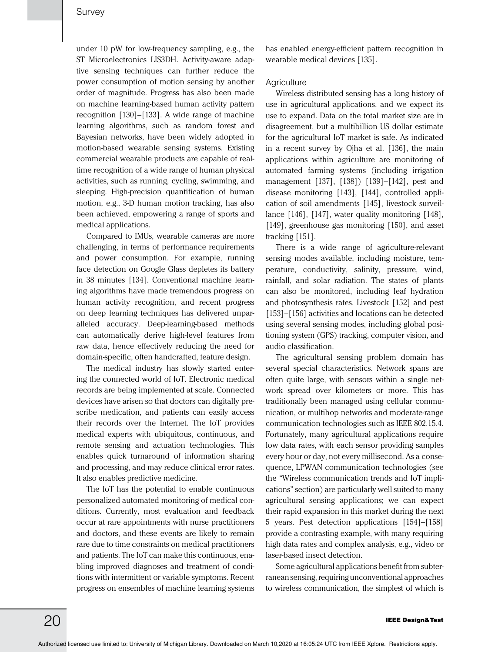under 10 pW for low-frequency sampling, e.g., the ST Microelectronics LIS3DH. Activity-aware adaptive sensing techniques can further reduce the power consumption of motion sensing by another order of magnitude. Progress has also been made on machine learning-based human activity pattern recognition [130]–[133]. A wide range of machine learning algorithms, such as random forest and Bayesian networks, have been widely adopted in motion-based wearable sensing systems. Existing commercial wearable products are capable of realtime recognition of a wide range of human physical activities, such as running, cycling, swimming, and sleeping. High-precision quantification of human motion, e.g., 3-D human motion tracking, has also been achieved, empowering a range of sports and medical applications.

Compared to IMUs, wearable cameras are more challenging, in terms of performance requirements and power consumption. For example, running face detection on Google Glass depletes its battery in 38 minutes [134]. Conventional machine learning algorithms have made tremendous progress on human activity recognition, and recent progress on deep learning techniques has delivered unparalleled accuracy. Deep-learning-based methods can automatically derive high-level features from raw data, hence effectively reducing the need for domain-specific, often handcrafted, feature design.

The medical industry has slowly started entering the connected world of IoT. Electronic medical records are being implemented at scale. Connected devices have arisen so that doctors can digitally prescribe medication, and patients can easily access their records over the Internet. The IoT provides medical experts with ubiquitous, continuous, and remote sensing and actuation technologies. This enables quick turnaround of information sharing and processing, and may reduce clinical error rates. It also enables predictive medicine.

The IoT has the potential to enable continuous personalized automated monitoring of medical conditions. Currently, most evaluation and feedback occur at rare appointments with nurse practitioners and doctors, and these events are likely to remain rare due to time constraints on medical practitioners and patients. The IoT can make this continuous, enabling improved diagnoses and treatment of conditions with intermittent or variable symptoms. Recent progress on ensembles of machine learning systems

has enabled energy-efficient pattern recognition in wearable medical devices [135].

#### **Agriculture**

Wireless distributed sensing has a long history of use in agricultural applications, and we expect its use to expand. Data on the total market size are in disagreement, but a multibillion US dollar estimate for the agricultural IoT market is safe. As indicated in a recent survey by Ojha et al. [136], the main applications within agriculture are monitoring of automated farming systems (including irrigation management [137], [138]) [139]–[142], pest and disease monitoring [143], [144], controlled application of soil amendments [145], livestock surveillance [146], [147], water quality monitoring [148], [149], greenhouse gas monitoring [150], and asset tracking [151].

There is a wide range of agriculture-relevant sensing modes available, including moisture, temperature, conductivity, salinity, pressure, wind, rainfall, and solar radiation. The states of plants can also be monitored, including leaf hydration and photosynthesis rates. Livestock [152] and pest [153]–[156] activities and locations can be detected using several sensing modes, including global positioning system (GPS) tracking, computer vision, and audio classification.

The agricultural sensing problem domain has several special characteristics. Network spans are often quite large, with sensors within a single network spread over kilometers or more. This has traditionally been managed using cellular communication, or multihop networks and moderate-range communication technologies such as IEEE 802.15.4. Fortunately, many agricultural applications require low data rates, with each sensor providing samples every hour or day, not every millisecond. As a consequence, LPWAN communication technologies (see the "Wireless communication trends and IoT implications" section) are particularly well suited to many agricultural sensing applications; we can expect their rapid expansion in this market during the next 5 years. Pest detection applications [154]–[158] provide a contrasting example, with many requiring high data rates and complex analysis, e.g., video or laser-based insect detection.

Some agricultural applications benefit from subterranean sensing, requiring unconventional approaches to wireless communication, the simplest of which is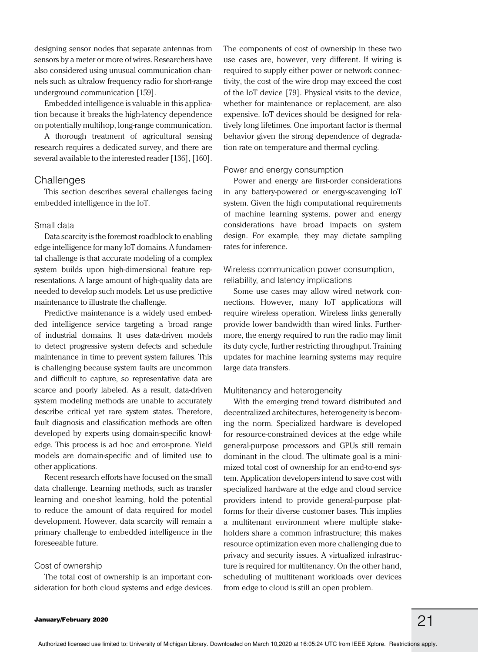designing sensor nodes that separate antennas from sensors by a meter or more of wires. Researchers have also considered using unusual communication channels such as ultralow frequency radio for short-range underground communication [159].

Embedded intelligence is valuable in this application because it breaks the high-latency dependence on potentially multihop, long-range communication.

A thorough treatment of agricultural sensing research requires a dedicated survey, and there are several available to the interested reader [136], [160].

#### **Challenges**

This section describes several challenges facing embedded intelligence in the IoT.

#### Small data

Data scarcity is the foremost roadblock to enabling edge intelligence for many IoT domains. A fundamental challenge is that accurate modeling of a complex system builds upon high-dimensional feature representations. A large amount of high-quality data are needed to develop such models. Let us use predictive maintenance to illustrate the challenge.

Predictive maintenance is a widely used embedded intelligence service targeting a broad range of industrial domains. It uses data-driven models to detect progressive system defects and schedule maintenance in time to prevent system failures. This is challenging because system faults are uncommon and difficult to capture, so representative data are scarce and poorly labeled. As a result, data-driven system modeling methods are unable to accurately describe critical yet rare system states. Therefore, fault diagnosis and classification methods are often developed by experts using domain-specific knowledge. This process is ad hoc and error-prone. Yield models are domain-specific and of limited use to other applications.

Recent research efforts have focused on the small data challenge. Learning methods, such as transfer learning and one-shot learning, hold the potential to reduce the amount of data required for model development. However, data scarcity will remain a primary challenge to embedded intelligence in the foreseeable future.

#### Cost of ownership

The total cost of ownership is an important consideration for both cloud systems and edge devices.

The components of cost of ownership in these two use cases are, however, very different. If wiring is required to supply either power or network connectivity, the cost of the wire drop may exceed the cost of the IoT device [79]. Physical visits to the device, whether for maintenance or replacement, are also expensive. IoT devices should be designed for relatively long lifetimes. One important factor is thermal behavior given the strong dependence of degradation rate on temperature and thermal cycling.

#### Power and energy consumption

Power and energy are first-order considerations in any battery-powered or energy-scavenging IoT system. Given the high computational requirements of machine learning systems, power and energy considerations have broad impacts on system design. For example, they may dictate sampling rates for inference.

#### Wireless communication power consumption, reliability, and latency implications

Some use cases may allow wired network connections. However, many IoT applications will require wireless operation. Wireless links generally provide lower bandwidth than wired links. Furthermore, the energy required to run the radio may limit its duty cycle, further restricting throughput. Training updates for machine learning systems may require large data transfers.

#### Multitenancy and heterogeneity

With the emerging trend toward distributed and decentralized architectures, heterogeneity is becoming the norm. Specialized hardware is developed for resource-constrained devices at the edge while general-purpose processors and GPUs still remain dominant in the cloud. The ultimate goal is a minimized total cost of ownership for an end-to-end system. Application developers intend to save cost with specialized hardware at the edge and cloud service providers intend to provide general-purpose platforms for their diverse customer bases. This implies a multitenant environment where multiple stakeholders share a common infrastructure; this makes resource optimization even more challenging due to privacy and security issues. A virtualized infrastructure is required for multitenancy. On the other hand, scheduling of multitenant workloads over devices from edge to cloud is still an open problem.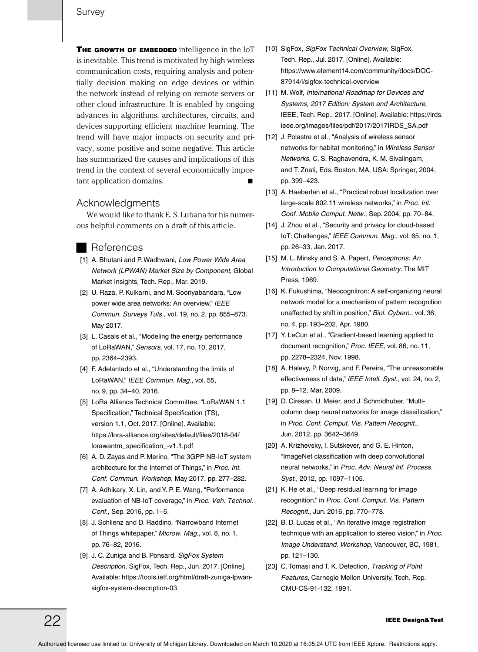THE GROWTH OF EMBEDDED intelligence in the IoT is inevitable. This trend is motivated by high wireless communication costs, requiring analysis and potentially decision making on edge devices or within the network instead of relying on remote servers or other cloud infrastructure. It is enabled by ongoing advances in algorithms, architectures, circuits, and devices supporting efficient machine learning. The trend will have major impacts on security and privacy, some positive and some negative. This article has summarized the causes and implications of this trend in the context of several economically important application domains.

#### Acknowledgments

We would like to thank E. S. Lubana for his numerous helpful comments on a draft of this article.

#### References

- [1] A. Bhutani and P. Wadhwani, *Low Power Wide Area Network (LPWAN) Market Size by Component*, Global Market Insights, Tech. Rep., Mar. 2019.
- [2] U. Raza, P. Kulkarni, and M. Sooriyabandara, "Low power wide area networks: An overview," *IEEE Commun. Surveys Tuts.*, vol. 19, no. 2, pp. 855–873. May 2017.
- [3] L. Casals et al., "Modeling the energy performance of LoRaWAN," *Sensors*, vol. 17, no. 10, 2017, pp. 2364–2393.
- [4] F. Adelantado et al., "Understanding the limits of LoRaWAN," *IEEE Commun. Mag.*, vol. 55, no. 9, pp. 34–40, 2016.
- [5] LoRa Alliance Technical Committee, "LoRaWAN 1.1 Specification," Technical Specification (TS), version 1.1, Oct. 2017. [Online]. Available: https://lora-alliance.org/sites/default/files/2018-04/ lorawantm\_specification\_-v1.1.pdf
- [6] A. D. Zayas and P. Merino, "The 3GPP NB-IoT system architecture for the Internet of Things," in *Proc. Int. Conf. Commun. Workshop*, May 2017, pp. 277–282.
- [7] A. Adhikary, X. Lin, and Y. P. E. Wang, "Performance evaluation of NB-IoT coverage," in *Proc. Veh. Technol. Conf.*, Sep. 2016, pp. 1–5.
- [8] J. Schlienz and D. Raddino, "Narrowband Internet of Things whitepaper," *Microw. Mag.*, vol. 8, no. 1, pp. 76–82, 2016.
- [9] J. C. Zuniga and B. Ponsard, *SigFox System Description*, SigFox, Tech. Rep., Jun. 2017. [Online]. Available: https://tools.ietf.org/html/draft-zuniga-lpwansigfox-system-description-03
- [10] SigFox, *SigFox Technical Overview*, SigFox, Tech. Rep., Jul. 2017. [Online]. Available: https://www.element14.com/community/docs/DOC-87914/l/sigfox-technical-overview
- [11] M. Wolf, *International Roadmap for Devices and Systems, 2017 Edition: System and Architecture*, IEEE, Tech. Rep., 2017. [Online]. Available: https://irds. ieee.org/images/files/pdf/2017/2017IRDS\_SA.pdf
- [12] J. Polastre et al., "Analysis of wireless sensor networks for habitat monitoring," in *Wireless Sensor Networks*, C. S. Raghavendra, K. M. Sivalingam, and T. Znati, Eds. Boston, MA, USA: Springer, 2004, pp. 399–423.
- [13] A. Haeberlen et al., "Practical robust localization over large-scale 802.11 wireless networks," in *Proc. Int. Conf. Mobile Comput. Netw.*, Sep. 2004, pp. 70–84.
- [14] J. Zhou et al., "Security and privacy for cloud-based IoT: Challenges," *IEEE Commun. Mag.*, vol. 65, no. 1, pp. 26–33, Jan. 2017.
- [15] M. L. Minsky and S. A. Papert, *Perceptrons: An Introduction to Computational Geometry.* The MIT Press, 1969.
- [16] K. Fukushima, "Neocognitron: A self-organizing neural network model for a mechanism of pattern recognition unaffected by shift in position," *Biol. Cybern.*, vol. 36, no. 4, pp. 193–202, Apr. 1980.
- [17] Y. LeCun et al., "Gradient-based learning applied to document recognition," *Proc. IEEE*, vol. 86, no. 11, pp. 2278–2324, Nov. 1998.
- [18] A. Halevy, P. Norvig, and F. Pereira, "The unreasonable effectiveness of data," *IEEE Intell. Syst.*, vol. 24, no. 2, pp. 8–12, Mar. 2009.
- [19] D. Ciresan, U. Meier, and J. Schmidhuber, "Multicolumn deep neural networks for image classification," in *Proc. Conf. Comput. Vis. Pattern Recognit.*, Jun. 2012, pp. 3642–3649.
- [20] A. Krizhevsky, I. Sutskever, and G. E. Hinton, "ImageNet classification with deep convolutional neural networks," in *Proc. Adv. Neural Inf. Process. Syst.*, 2012, pp. 1097–1105.
- [21] K. He et al., "Deep residual learning for image recognition," in *Proc. Conf. Comput. Vis. Pattern Recognit.*, Jun. 2016, pp. 770–778.
- [22] B. D. Lucas et al., "An iterative image registration technique with an application to stereo vision," in *Proc. Image Understand. Workshop*, Vancouver, BC, 1981, pp. 121–130.
- [23] C. Tomasi and T. K. Detection, *Tracking of Point Features*, Carnegie Mellon University, Tech. Rep. CMU-CS-91-132, 1991.

## $22$  IEEE Design&Test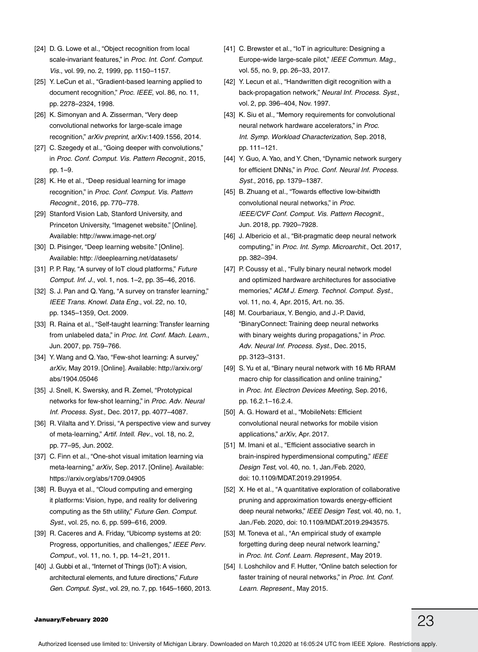- [24] D. G. Lowe et al., "Object recognition from local scale-invariant features," in *Proc. Int. Conf. Comput. Vis.*, vol. 99, no. 2, 1999, pp. 1150–1157.
- [25] Y. LeCun et al., "Gradient-based learning applied to document recognition," *Proc. IEEE*, vol. 86, no. 11, pp. 2278–2324, 1998.
- [26] K. Simonyan and A. Zisserman, "Very deep convolutional networks for large-scale image recognition," *arXiv preprint*, arXiv:1409.1556, 2014.
- [27] C. Szegedy et al., "Going deeper with convolutions," in *Proc. Conf. Comput. Vis. Pattern Recognit.*, 2015, pp. 1–9.
- [28] K. He et al., "Deep residual learning for image recognition," in *Proc. Conf. Comput. Vis. Pattern Recognit.*, 2016, pp. 770–778.
- [29] Stanford Vision Lab, Stanford University, and Princeton University, "Imagenet website." [Online]. Available: http://www.image-net.org/
- [30] D. Pisinger, "Deep learning website." [Online]. Available: http: //deeplearning.net/datasets/
- [31] P. P. Ray, "A survey of IoT cloud platforms," *Future Comput. Inf. J.*, vol. 1, nos. 1–2, pp. 35–46, 2016.
- [32] S. J. Pan and Q. Yang, "A survey on transfer learning," *IEEE Trans. Knowl. Data Eng.*, vol. 22, no. 10, pp. 1345–1359, Oct. 2009.
- [33] R. Raina et al., "Self-taught learning: Transfer learning from unlabeled data," in *Proc. Int. Conf. Mach. Learn.*, Jun. 2007, pp. 759–766.
- [34] Y. Wang and Q. Yao, "Few-shot learning: A survey," *arXiv*, May 2019. [Online]. Available: http://arxiv.org/ abs/1904.05046
- [35] J. Snell, K. Swersky, and R. Zemel, "Prototypical networks for few-shot learning," in *Proc. Adv. Neural Inf. Process. Syst.*, Dec. 2017, pp. 4077–4087.
- [36] R. Vilalta and Y. Drissi, "A perspective view and survey of meta-learning," *Artif. Intell. Rev.*, vol. 18, no. 2, pp. 77–95, Jun. 2002.
- [37] C. Finn et al., "One-shot visual imitation learning via meta-learning," *arXiv*, Sep. 2017. [Online]. Available: https://arxiv.org/abs/1709.04905
- [38] R. Buyya et al., "Cloud computing and emerging it platforms: Vision, hype, and reality for delivering computing as the 5th utility," *Future Gen. Comput. Syst.*, vol. 25, no. 6, pp. 599–616, 2009.
- [39] R. Caceres and A. Friday, "Ubicomp systems at 20: Progress, opportunities, and challenges," *IEEE Perv. Comput.*, vol. 11, no. 1, pp. 14–21, 2011.
- [40] J. Gubbi et al., "Internet of Things (IoT): A vision, architectural elements, and future directions," *Future Gen. Comput. Syst.*, vol. 29, no. 7, pp. 1645–1660, 2013.
- [41] C. Brewster et al., "IoT in agriculture: Designing a Europe-wide large-scale pilot," *IEEE Commun. Mag.*, vol. 55, no. 9, pp. 26–33, 2017.
- [42] Y. Lecun et al., "Handwritten digit recognition with a back-propagation network," *Neural Inf. Process. Syst.*, vol. 2, pp. 396–404, Nov. 1997.
- [43] K. Siu et al., "Memory requirements for convolutional neural network hardware accelerators," in *Proc. Int. Symp. Workload Characterization*, Sep. 2018, pp. 111–121.
- [44] Y. Guo, A. Yao, and Y. Chen, "Dynamic network surgery for efficient DNNs," in *Proc. Conf. Neural Inf. Process. Syst.*, 2016, pp. 1379–1387.
- [45] B. Zhuang et al., "Towards effective low-bitwidth convolutional neural networks," in *Proc. IEEE/CVF Conf. Comput. Vis. Pattern Recognit.*, Jun. 2018, pp. 7920–7928.
- [46] J. Albericio et al., "Bit-pragmatic deep neural network computing," in *Proc. Int. Symp. Microarchit.*, Oct. 2017, pp. 382–394.
- [47] P. Coussy et al., "Fully binary neural network model and optimized hardware architectures for associative memories," *ACM J. Emerg. Technol. Comput. Syst.*, vol. 11, no. 4, Apr. 2015, Art. no. 35.
- [48] M. Courbariaux, Y. Bengio, and J.-P. David, "BinaryConnect: Training deep neural networks with binary weights during propagations," in *Proc. Adv. Neural Inf. Process. Syst.*, Dec. 2015, pp. 3123–3131.
- [49] S. Yu et al, "Binary neural network with 16 Mb RRAM macro chip for classification and online training," in *Proc. Int. Electron Devices Meeting*, Sep. 2016, pp. 16.2.1–16.2.4.
- [50] A. G. Howard et al., "MobileNets: Efficient convolutional neural networks for mobile vision applications," *arXiv*, Apr. 2017.
- [51] M. Imani et al., "Efficient associative search in brain-inspired hyperdimensional computing," *IEEE Design Test*, vol. 40, no. 1, Jan./Feb. 2020, doi: 10.1109/MDAT.2019.2919954.
- [52] X. He et al., "A quantitative exploration of collaborative pruning and approximation towards energy-efficient deep neural networks," *IEEE Design Test*, vol. 40, no. 1, Jan./Feb. 2020, doi: 10.1109/MDAT.2019.2943575.
- [53] M. Toneva et al., "An empirical study of example forgetting during deep neural network learning," in *Proc. Int. Conf. Learn. Represent.*, May 2019.
- [54] I. Loshchilov and F. Hutter, "Online batch selection for faster training of neural networks," in *Proc. Int. Conf. Learn. Represent.*, May 2015.

## January/February 2020  $23$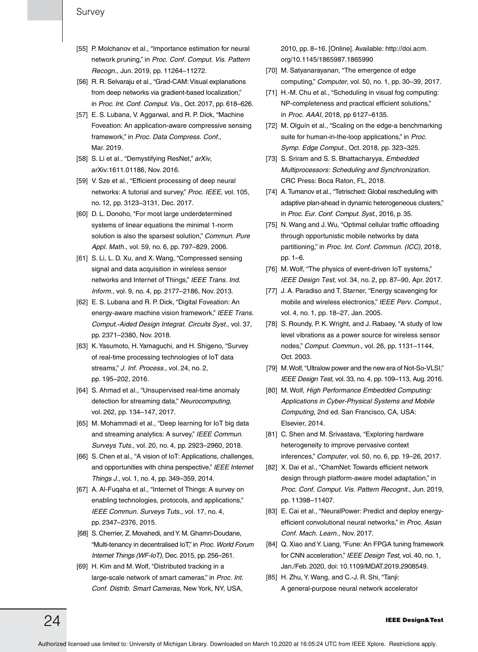- [55] P. Molchanov et al., "Importance estimation for neural network pruning," in *Proc. Conf. Comput. Vis. Pattern Recogn.*, Jun. 2019, pp. 11264–11272.
- [56] R. R. Selvaraju et al., "Grad-CAM: Visual explanations from deep networks via gradient-based localization," in *Proc. Int. Conf. Comput. Vis.*, Oct. 2017, pp. 618–626.
- [57] E. S. Lubana, V. Aggarwal, and R. P. Dick, "Machine Foveation: An application-aware compressive sensing framework," in *Proc. Data Compress. Conf.*, Mar. 2019.
- [58] S. Li et al., "Demystifying ResNet," *arXiv*, arXiv:1611.01186, Nov. 2016.
- [59] V. Sze et al., "Efficient processing of deep neural networks: A tutorial and survey," *Proc. IEEE*, vol. 105, no. 12, pp. 3123–3131, Dec. 2017.
- [60] D. L. Donoho, "For most large underdetermined systems of linear equations the minimal 1-norm solution is also the sparsest solution," *Commun. Pure Appl. Math.*, vol. 59, no. 6, pp. 797–829, 2006.
- [61] S. Li, L. D. Xu, and X. Wang, "Compressed sensing signal and data acquisition in wireless sensor networks and Internet of Things," *IEEE Trans. Ind. Inform.*, vol. 9, no. 4, pp. 2177–2186, Nov. 2013.
- [62] E. S. Lubana and R. P. Dick, "Digital Foveation: An energy-aware machine vision framework," *IEEE Trans. Comput.-Aided Design Integrat. Circuits Syst.*, vol. 37, pp. 2371–2380, Nov. 2018.
- [63] K. Yasumoto, H. Yamaguchi, and H. Shigeno, "Survey of real-time processing technologies of IoT data streams," *J. Inf. Process.*, vol. 24, no. 2, pp. 195–202, 2016.
- [64] S. Ahmad et al., "Unsupervised real-time anomaly detection for streaming data," *Neurocomputing*, vol. 262, pp. 134–147, 2017.
- [65] M. Mohammadi et al., "Deep learning for IoT big data and streaming analytics: A survey," *IEEE Commun. Surveys Tuts.*, vol. 20, no. 4, pp. 2923–2960, 2018.
- [66] S. Chen et al., "A vision of IoT: Applications, challenges, and opportunities with china perspective," *IEEE Internet Things J.*, vol. 1, no. 4, pp. 349–359, 2014.
- [67] A. Al-Fuqaha et al., "Internet of Things: A survey on enabling technologies, protocols, and applications," *IEEE Commun. Surveys Tuts.*, vol. 17, no. 4, pp. 2347–2376, 2015.
- [68] S. Cherrier, Z. Movahedi, and Y. M. Ghamri-Doudane, "Multi-tenancy in decentralised IoT," in *Proc. World Forum Internet Things (WF-IoT)*, Dec. 2015, pp. 256–261.
- [69] H. Kim and M. Wolf, "Distributed tracking in a large-scale network of smart cameras," in *Proc. Int. Conf. Distrib. Smart Cameras*, New York, NY, USA,

2010, pp. 8–16. [Online]. Available: http://doi.acm. org/10.1145/1865987.1865990

- [70] M. Satyanarayanan, "The emergence of edge computing," *Computer*, vol. 50, no. 1, pp. 30–39, 2017.
- [71] H.-M. Chu et al., "Scheduling in visual fog computing: NP-completeness and practical efficient solutions," in *Proc. AAAI*, 2018, pp 6127–6135.
- [72] M. Olguín et al., "Scaling on the edge-a benchmarking suite for human-in-the-loop applications," in *Proc. Symp. Edge Comput.*, Oct. 2018, pp. 323–325.
- [73] S. Sriram and S. S. Bhattacharyya, *Embedded Multiprocessors: Scheduling and Synchronization.* CRC Press: Boca Raton, FL, 2018.
- [74] A. Tumanov et al., "Tetrisched: Global rescheduling with adaptive plan-ahead in dynamic heterogeneous clusters," in *Proc. Eur. Conf. Comput. Syst.*, 2016, p. 35.
- [75] N. Wang and J. Wu, "Optimal cellular traffic offloading through opportunistic mobile networks by data partitioning," in *Proc. Int. Conf. Commun. (ICC)*, 2018, pp. 1–6.
- [76] M. Wolf, "The physics of event-driven IoT systems," *IEEE Design Test*, vol. 34, no. 2, pp. 87–90, Apr. 2017.
- [77] J. A. Paradiso and T. Starner, "Energy scavenging for mobile and wireless electronics," *IEEE Perv. Comput.*, vol. 4, no. 1, pp. 18–27, Jan. 2005.
- [78] S. Roundy, P. K. Wright, and J. Rabaey, "A study of low level vibrations as a power source for wireless sensor nodes," *Comput. Commun.*, vol. 26, pp. 1131–1144, Oct. 2003.
- [79] M. Wolf, "Ultralow power and the new era of Not-So-VLSI," *IEEE Design Test*, vol. 33, no. 4, pp. 109–113, Aug. 2016.
- [80] M. Wolf, *High Performance Embedded Computing: Applications in Cyber-Physical Systems and Mobile Computing*, 2nd ed. San Francisco, CA, USA: Elsevier, 2014*.*
- [81] C. Shen and M. Srivastava, "Exploring hardware heterogeneity to improve pervasive context inferences," *Computer*, vol. 50, no. 6, pp. 19–26, 2017.
- [82] X. Dai et al., "ChamNet: Towards efficient network design through platform-aware model adaptation," in *Proc. Conf. Comput. Vis. Pattern Recognit.*, Jun. 2019, pp. 11398–11407.
- [83] E. Cai et al., "NeuralPower: Predict and deploy energyefficient convolutional neural networks," in *Proc. Asian Conf. Mach. Learn.*, Nov. 2017.
- [84] Q. Xiao and Y. Liang, "Fune: An FPGA tuning framework for CNN acceleration," *IEEE Design Test*, vol. 40, no. 1, Jan./Feb. 2020, doi: 10.1109/MDAT.2019.2908549.
- [85] H. Zhu, Y. Wang, and C.-J. R. Shi, "Tanji: A general-purpose neural network accelerator

## $24$  IEEE Design&Test

Authorized licensed use limited to: University of Michigan Library. Downloaded on March 10,2020 at 16:05:24 UTC from IEEE Xplore. Restrictions apply.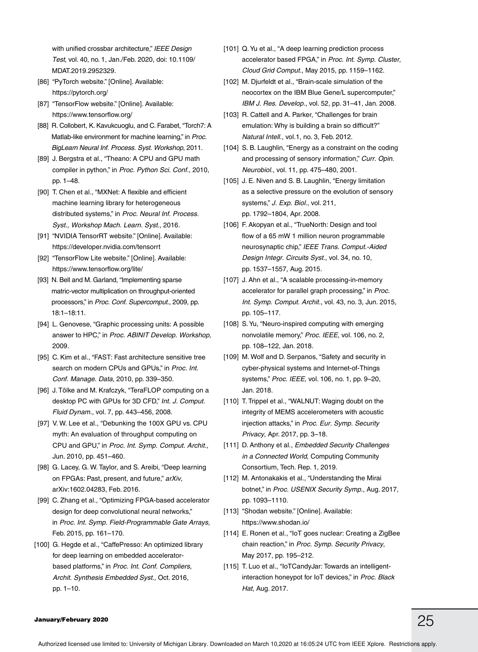with unified crossbar architecture," *IEEE Design Test*, vol. 40, no. 1, Jan./Feb. 2020, doi: 10.1109/ MDAT.2019.2952329.

- [86] "PyTorch website." [Online]. Available: https://pytorch.org/
- [87] "TensorFlow website." [Online]. Available: https://www.tensorflow.org/
- [88] R. Collobert, K. Kavukcuoglu, and C. Farabet, "Torch7: A Matlab-like environment for machine learning," in *Proc. BigLearn Neural Inf. Process. Syst. Workshop*, 2011.
- [89] J. Bergstra et al., "Theano: A CPU and GPU math compiler in python," in *Proc. Python Sci. Conf.*, 2010, pp. 1–48.
- [90] T. Chen et al., "MXNet: A flexible and efficient machine learning library for heterogeneous distributed systems," in *Proc. Neural Inf. Process. Syst., Workshop Mach. Learn. Syst.*, 2016.
- [91] "NVIDIA TensorRT website." [Online]. Available: https://developer.nvidia.com/tensorrt
- [92] "TensorFlow Lite website." [Online]. Available: https://www.tensorflow.org/lite/
- [93] N. Bell and M. Garland, "Implementing sparse matric-vector multiplication on throughput-oriented processors," in *Proc. Conf. Supercomput.*, 2009, pp. 18:1–18:11.
- [94] L. Genovese, "Graphic processing units: A possible answer to HPC," in *Proc. ABINIT Develop. Workshop*, 2009.
- [95] C. Kim et al., "FAST: Fast architecture sensitive tree search on modern CPUs and GPUs," in *Proc. Int. Conf. Manage. Data*, 2010, pp. 339–350.
- [96] J. Tölke and M. Krafczyk, "TeraFLOP computing on a desktop PC with GPUs for 3D CFD," *Int. J. Comput. Fluid Dynam.*, vol. 7, pp. 443–456, 2008.
- [97] V. W. Lee et al., "Debunking the 100X GPU vs. CPU myth: An evaluation of throughput computing on CPU and GPU," in *Proc. Int. Symp. Comput. Archit.*, Jun. 2010, pp. 451–460.
- [98] G. Lacey, G. W. Taylor, and S. Areibi, "Deep learning on FPGAs: Past, present, and future," *arXiv*, arXiv:1602.04283, Feb. 2016.
- [99] C. Zhang et al., "Optimizing FPGA-based accelerator design for deep convolutional neural networks," in *Proc. Int. Symp. Field-Programmable Gate Arrays*, Feb. 2015, pp. 161–170.
- [100] G. Hegde et al., "CaffePresso: An optimized library for deep learning on embedded acceleratorbased platforms," in *Proc. Int. Conf. Compliers, Archit. Synthesis Embedded Syst.*, Oct. 2016, pp. 1–10.
- [101] Q. Yu et al., "A deep learning prediction process accelerator based FPGA," in *Proc. Int. Symp. Cluster, Cloud Grid Comput.*, May 2015, pp. 1159–1162.
- [102] M. Djurfeldt et al., "Brain-scale simulation of the neocortex on the IBM Blue Gene/L supercomputer," *IBM J. Res. Develop.*, vol. 52, pp. 31–41, Jan. 2008.
- [103] R. Cattell and A. Parker, "Challenges for brain emulation: Why is building a brain so difficult?" *Natural Intell.*, vol.1, no. 3, Feb. 2012.
- [104] S. B. Laughlin, "Energy as a constraint on the coding and processing of sensory information," *Curr. Opin. Neurobiol.*, vol. 11, pp. 475–480, 2001.
- [105] J. E. Niven and S. B. Laughlin, "Energy limitation as a selective pressure on the evolution of sensory systems," *J. Exp. Biol.*, vol. 211, pp. 1792–1804, Apr. 2008.
- [106] F. Akopyan et al., "TrueNorth: Design and tool flow of a 65 mW 1 million neuron programmable neurosynaptic chip," *IEEE Trans. Comput.-Aided Design Integr. Circuits Syst.*, vol. 34, no. 10, pp. 1537–1557, Aug. 2015.
- [107] J. Ahn et al., "A scalable processing-in-memory accelerator for parallel graph processing," in *Proc. Int. Symp. Comput. Archit.*, vol. 43, no. 3, Jun. 2015, pp. 105–117.
- [108] S. Yu, "Neuro-inspired computing with emerging nonvolatile memory," *Proc. IEEE*, vol. 106, no. 2, pp. 108–122, Jan. 2018.
- [109] M. Wolf and D. Serpanos, "Safety and security in cyber-physical systems and Internet-of-Things systems," *Proc. IEEE*, vol. 106, no. 1, pp. 9–20, Jan. 2018.
- [110] T. Trippel et al., "WALNUT: Waging doubt on the integrity of MEMS accelerometers with acoustic injection attacks," in *Proc. Eur. Symp. Security Privacy*, Apr. 2017, pp. 3–18.
- [111] D. Anthony et al., *Embedded Security Challenges in a Connected World*, Computing Community Consortium, Tech. Rep. 1, 2019.
- [112] M. Antonakakis et al., "Understanding the Mirai botnet," in *Proc. USENIX Security Symp.*, Aug. 2017, pp. 1093–1110.
- [113] "Shodan website." [Online]. Available: https://www.shodan.io/
- [114] E. Ronen et al., "IoT goes nuclear: Creating a ZigBee chain reaction," in *Proc. Symp. Security Privacy*, May 2017, pp. 195–212.
- [115] T. Luo et al., "IoTCandyJar: Towards an intelligentinteraction honeypot for IoT devices," in *Proc. Black Hat*, Aug. 2017.

## January/February 2020  $25$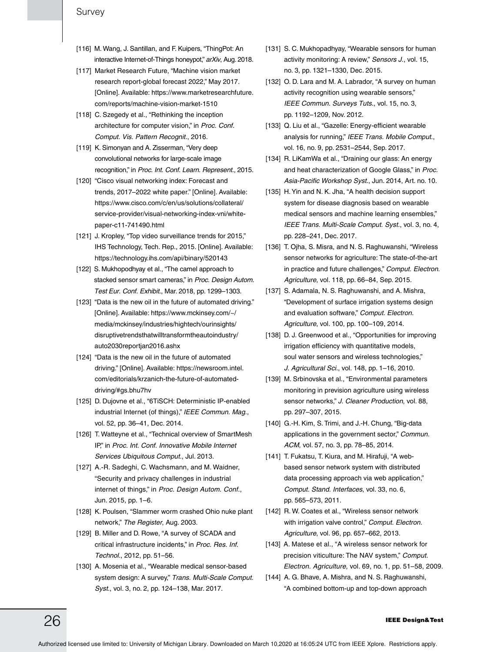- [116] M. Wang, J. Santillan, and F. Kuipers, "ThingPot: An interactive Internet-of-Things honeypot," *arXiv*, Aug. 2018.
- [117] Market Research Future, "Machine vision market research report-global forecast 2022," May 2017. [Online]. Available: https://www.marketresearchfuture. com/reports/machine-vision-market-1510
- [118] C. Szegedy et al., "Rethinking the inception architecture for computer vision," in *Proc. Conf. Comput. Vis. Pattern Recognit.*, 2016.
- [119] K. Simonyan and A. Zisserman, "Very deep convolutional networks for large-scale image recognition," in *Proc. Int. Conf. Learn. Represent.*, 2015.
- [120] "Cisco visual networking index: Forecast and trends, 2017–2022 white paper." [Online]. Available: https://www.cisco.com/c/en/us/solutions/collateral/ service-provider/visual-networking-index-vni/whitepaper-c11-741490.html
- [121] J. Kropley, "Top video surveillance trends for 2015," IHS Technology, Tech. Rep., 2015. [Online]. Available: https://technology.ihs.com/api/binary/520143
- [122] S. Mukhopodhyay et al., "The camel approach to stacked sensor smart cameras," in *Proc. Design Autom. Test Eur. Conf. Exhibit.*, Mar. 2018, pp. 1299–1303.
- [123] "Data is the new oil in the future of automated driving." [Online]. Available: https://www.mckinsey.com/~/ media/mckinsey/industries/hightech/ourinsights/ disruptivetrendsthatwilltransformtheautoindustry/ auto2030reportjan2016.ashx
- [124] "Data is the new oil in the future of automated driving." [Online]. Available: https://newsroom.intel. com/editorials/krzanich-the-future-of-automateddriving/#gs.bhu7hv
- [125] D. Dujovne et al., "6TiSCH: Deterministic IP-enabled industrial Internet (of things)," *IEEE Commun. Mag.*, vol. 52, pp. 36–41, Dec. 2014.
- [126] T. Watteyne et al., "Technical overview of SmartMesh IP," in *Proc. Int. Conf. Innovative Mobile Internet Services Ubiquitous Comput.*, Jul. 2013.
- [127] A.-R. Sadeghi, C. Wachsmann, and M. Waidner, "Security and privacy challenges in industrial internet of things," in *Proc. Design Autom. Conf.*, Jun. 2015, pp. 1–6.
- [128] K. Poulsen, "Slammer worm crashed Ohio nuke plant network," *The Register*, Aug. 2003.
- [129] B. Miller and D. Rowe, "A survey of SCADA and critical infrastructure incidents," in *Proc. Res. Inf. Technol.*, 2012, pp. 51–56.
- [130] A. Mosenia et al., "Wearable medical sensor-based system design: A survey," *Trans. Multi-Scale Comput. Syst.*, vol. 3, no. 2, pp. 124–138, Mar. 2017.
- [131] S. C. Mukhopadhyay, "Wearable sensors for human activity monitoring: A review," *Sensors J.*, vol. 15, no. 3, pp. 1321–1330, Dec. 2015.
- [132] O. D. Lara and M. A. Labrador, "A survey on human activity recognition using wearable sensors," *IEEE Commun. Surveys Tuts.*, vol. 15, no. 3, pp. 1192–1209, Nov. 2012.
- [133] Q. Liu et al., "Gazelle: Energy-efficient wearable analysis for running," *IEEE Trans. Mobile Comput.*, vol. 16, no. 9, pp. 2531–2544, Sep. 2017.
- [134] R. LiKamWa et al., "Draining our glass: An energy and heat characterization of Google Glass," in *Proc. Asia-Pacific Workshop Syst.*, Jun. 2014, Art. no. 10.
- [135] H. Yin and N. K. Jha, "A health decision support system for disease diagnosis based on wearable medical sensors and machine learning ensembles," *IEEE Trans. Multi-Scale Comput. Syst.*, vol. 3, no. 4, pp. 228–241, Dec. 2017.
- [136] T. Ojha, S. Misra, and N. S. Raghuwanshi, "Wireless sensor networks for agriculture: The state-of-the-art in practice and future challenges," *Comput. Electron. Agriculture*, vol. 118, pp. 66–84, Sep. 2015.
- [137] S. Adamala, N. S. Raghuwanshi, and A. Mishra, "Development of surface irrigation systems design and evaluation software," *Comput. Electron. Agriculture*, vol. 100, pp. 100–109, 2014.
- [138] D. J. Greenwood et al., "Opportunities for improving irrigation efficiency with quantitative models, soul water sensors and wireless technologies," *J. Agricultural Sci.*, vol. 148, pp. 1–16, 2010.
- [139] M. Srbinovska et al., "Environmental parameters monitoring in prevision agriculture using wireless sensor networks," *J. Cleaner Production*, vol. 88, pp. 297–307, 2015.
- [140] G.-H. Kim, S. Trimi, and J.-H. Chung, "Big-data applications in the government sector," *Commun. ACM*, vol. 57, no. 3, pp. 78–85, 2014.
- [141] T. Fukatsu, T. Kiura, and M. Hirafuji, "A webbased sensor network system with distributed data processing approach via web application," *Comput. Stand. Interfaces*, vol. 33, no. 6, pp. 565–573, 2011.
- [142] R. W. Coates et al., "Wireless sensor network with irrigation valve control," *Comput. Electron. Agriculture*, vol. 96, pp. 657–662, 2013.
- [143] A. Matese et al., "A wireless sensor network for precision viticulture: The NAV system," *Comput. Electron. Agriculture*, vol. 69, no. 1, pp. 51–58, 2009.
- [144] A. G. Bhave, A. Mishra, and N. S. Raghuwanshi, "A combined bottom-up and top-down approach

## $26\,$  IEEE Design&Test